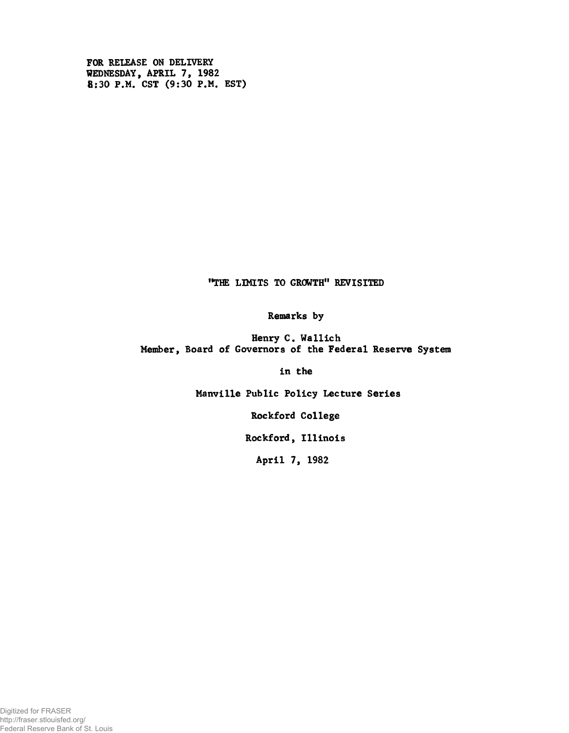**FOR RELEASE ON DELIVERY WEDNESDAY, APRIL 7, 1982 8:30 P.M. CST (9:30 P.M. EST)**

**"THE LIMITS TO GROWTH" REVISITED**

**Remarks by**

**Henry C. Wallich Member, Board of Governors of the Federal Reserve System**

**in the**

**Manville Public Policy Lecture Series**

**Rockford College**

**Rockford, Illinois**

**April 7, 1982**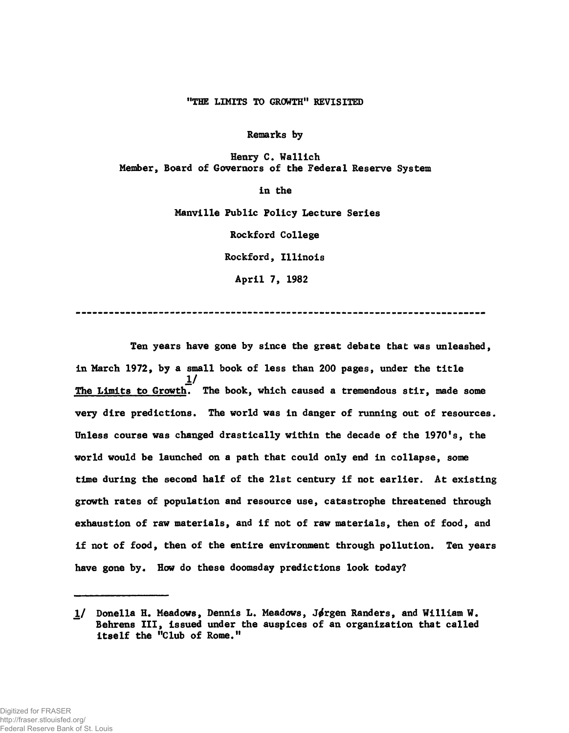# "THE LIMITS TO GROWTH" REVISITED

**Remarks by**

**Henry C. Wallich Member, Board of Governors of the Federal Reserve System**

**in the**

**Manville Public Policy Lecture Series**

**Rockford College**

**Rockford, Illinois**

**April 7, 1982**

**Ten years have gone by since the great debate that was unleashed, in March 1972, by a small book of less than 200 pages, under the title 1**/ The Limits to Growth. The book, which caused a tremendous stir, made some **very dire predictions. The world was in danger of running out of resources. Unless course was changed drastically within the decade of the 1970's, the world would be launched on a path that could only end in collapse, some time during the second half of the 21st century if not earlier. At existing growth rates of population and resource use, catastrophe threatened through exhaustion of raw materials, and if not of raw materials, then of food, and if not of food, then of the entire environment through pollution. Ten years have gone by. How do these doomsday predictions look today?**

<sup>1/</sup> Donella H. Meadows, Dennis L. Meadows, Jørgen Randers, and William W. **Behrens III, issued under the auspices of an organization that called itself the "Club of Rome."**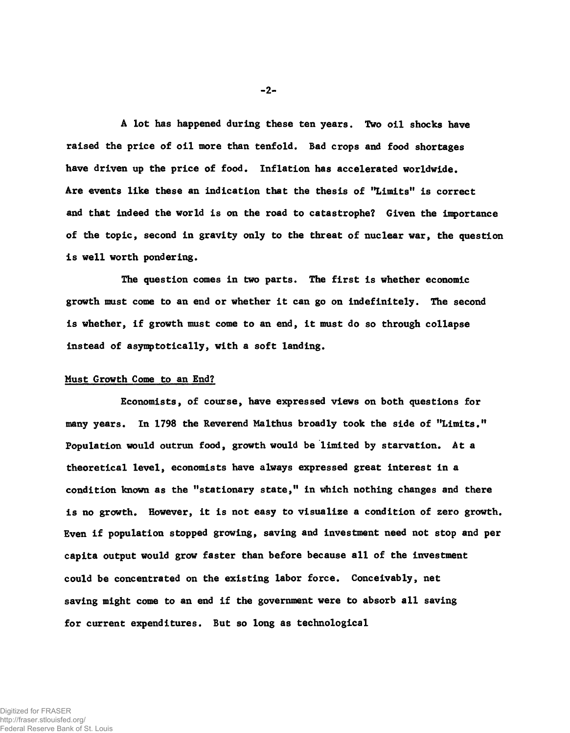**A lot has happened during these ten years. Two oil shocks have raised the price of oil more than tenfold. Bad crops and food shortages have driven up the price of food. Inflation has accelerated worldwide. Are events like these an indication that the thesis of "Limits" is correct and that indeed the world is on the road to catastrophe? Given the importance of the topic, second in gravity only to the threat of nuclear war, the question is well worth pondering.**

**The question comes in two parts. The first is whether economic growth must come to an end or whether it can go on indefinitely. The second is whether, if growth must come to an end, it must do so through collapse instead of asymptotically, with a soft landing.**

# **Must Growth Come to an End?**

**Economists, of course, have expressed views on both questions for many years. In 1798 the Reverend Malthus broadly took the side of "Limits." Population would outrun food, growth would be limited by starvation. At a theoretical level, economists have always expressed great interest in a condition known as the "stationary state," in which nothing changes and there is no growth. However, it is not easy to visualize a condition of zero growth. Even if population stopped growing, saving and investment need not stop and per capita output would grow faster than before because all of the investment could be concentrated on the existing labor force. Conceivably, net saving might come to an end if the government were to absorb all saving for current expenditures. But so long as technological**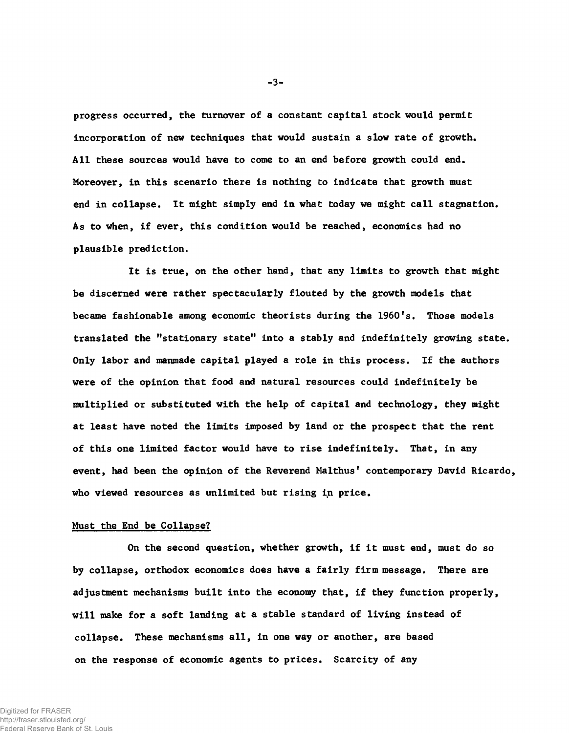**progress occurred, the turnover of a constant capital stock would permit incorporation of new techniques that would sustain a slow rate of growth. All these sources would have to come to an end before growth could end. Moreover, in this scenario there is nothing to indicate that growth must end in collapse. It might simply end in what today we might call stagnation. As to when, if ever, this condition would be reached, economics had no plausible prediction.**

**It is true, on the other hand, that any limits to growth that might be discerned were rather spectacularly flouted by the growth models that became fashionable among economic theorists during the 1960's. Those models translated the "stationary state" into a stably and indefinitely growing state. Only labor and manmade capital played a role in this process. If the authors were of the opinion that food and natural resources could indefinitely be multiplied or substituted with the help of capital and technology, they might at least have noted the limits imposed by land or the prospect that the rent of this one limited factor would have to rise indefinitely. That, in any event, had been the opinion of the Reverend Malthus' contemporary David Ricardo, who viewed resources as unlimited but rising in price.**

### **Must the End be Collapse?**

**On the second question, whether growth, if it must end, must do so by collapse, orthodox economics does have a fairly firm message. There are adjustment mechanisms built into the economy that, if they function properly, will make for a soft landing at a stable standard of living instead of collapse. These mechanisms all, in one way or another, are based on the response of economic agents to prices. Scarcity of any**

Digitized for FRASER

http://fraser.stlouisfed.org/ Federal Reserve Bank of St. Louis -3-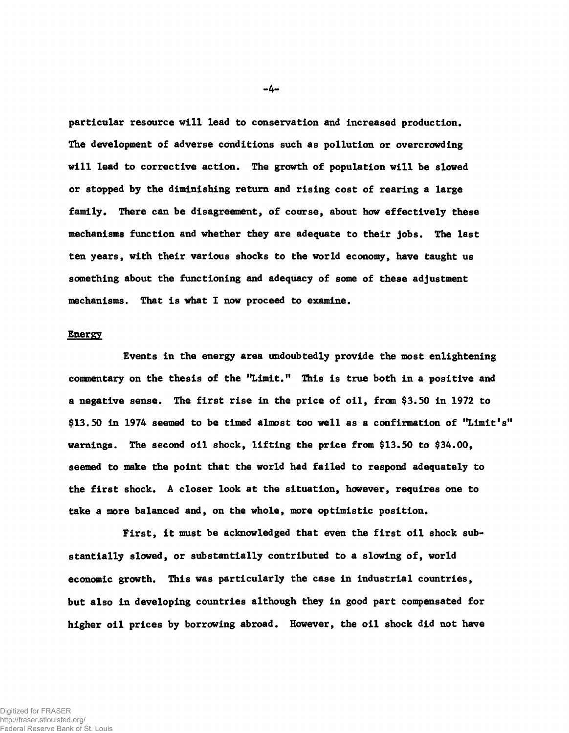**The development of adverse conditions such as pollution or overcrowding will lead to corrective action. The growth of population will be slowed or stopped by the diminishing return and rising cost of rearing a large family. There can be disagreement, of course, about how effectively these mechanisms function and whether they are adequate to their jobs. The last ten years, with their various shocks to the world economy, have taught us something about the functioning and adequacy of some of these adjustment mechanisms. That is what I now proceed to examine.** particular resource will lead to conservation and Increased production.

### **Energy**

**Events in the energy area undoubtedly provide the most enlightening commentary on the thesis of the "Limit." This is true both in a positive and a negative sense. The first rise in the price of oil, from \$3.50 in 1972 to \$13.50 in 1974 seemed to be timed almost too well as a confirmation of "Limit's" warnings. The second oil shock, lifting the price from \$13.50 to \$34.00, seemed to make the point that the world had failed to respond adequately to the first shock. A closer look at the situation, however, requires one to take a more balanced and, on the whole, more optimistic position.**

**First, it must be acknowledged that even the first oil shock substantially slowed, or substantially contributed to a slowing of, world economic growth. This was particularly the case in industrial countries, but also in developing countries although they in good part compensated for higher oil prices by borrowing abroad. However, the oil shock did not have**

-4-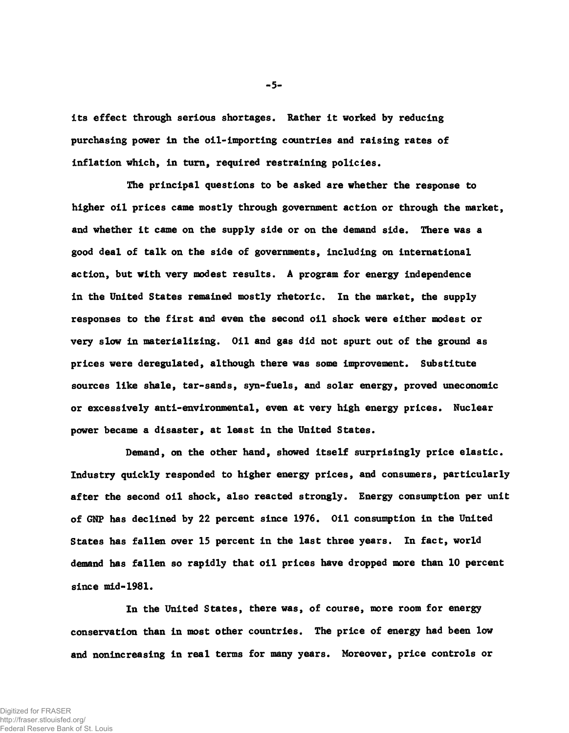**its effect through serious shortages. Rather it worked by reducing purchasing power in the oil-importing countries and raising rates of inflation which, in turn, required restraining policies.**

**The principal questions to be asked are whether the response to higher oil prices came mostly through government action or through the market, and whether it came on the supply side or on the demand side. There was a good deal of talk on the side of governments, including on international action, but with very modest results. A program for energy independence in the United States remained mostly rhetoric. In the market, the supply responses to the first and even the second oil shock were either modest or very slow in materializing. Oil and gas did not spurt out of the ground as prices were deregulated, although there was some improvement. Substitute sources like shale, tar-sands, syn-fuels, and solar energy, proved uneconomic or excessively anti-environmental, even at very high energy prices. Nuclear power became a disaster, at least in the United States.**

**Demand, on the other hand, showed itself surprisingly price elastic. Industry quickly responded to higher energy prices, and consumers, particularly after the second oil shock, also reacted strongly. Energy consumption per unit of GNP has declined by 22 percent since 1976. Oil consumption in the United States has fallen over 15 percent in the last three years. In fact, world demand has fallen so rapidly that oil prices have dropped more than 10 percent since mid-1981.**

**In the United States, there was, of course, more room for energy conservation than in most other countries. The price of energy had been low and nonincreasing in real terms for many years. Moreover, price controls or**

-5-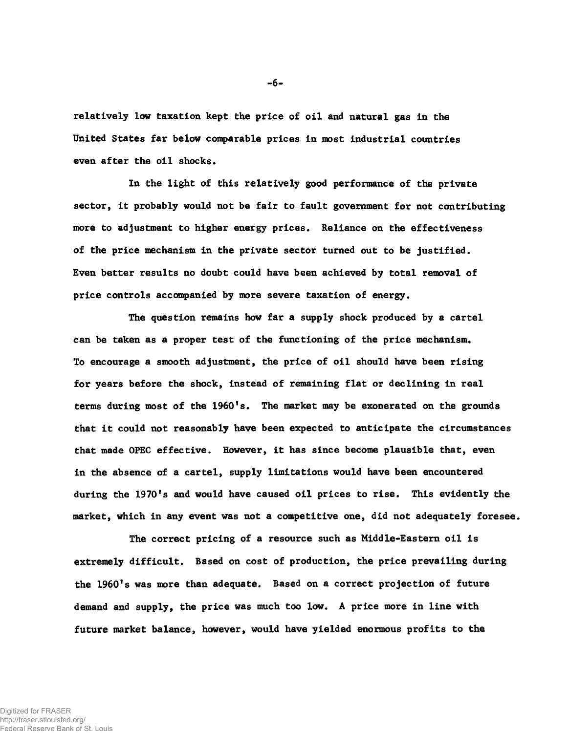**relatively low taxation kept the price of oil and natural gas in the United States far below comparable prices in most industrial countries even after the oil shocks.**

**In the light of this relatively good performance of the private sector, it probably would not be fair to fault government for not contributing more to adjustment to higher energy prices. Reliance on the effectiveness of the price mechanism in the private sector turned out to be justified. Even better results no doubt could have been achieved by total removal of price controls accompanied by more severe taxation of energy.**

**The question remains how far a supply shock produced by a cartel can be taken as a proper test of the functioning of the price mechanism. To encourage a smooth adjustment, the price of oil should have been rising for years before the shock, instead of remaining flat or declining in real terms during most of the 1960's. The market may be exonerated on the grounds that it could not reasonably have been expected to anticipate the circumstances that made OPEC effective. However, it has since become plausible that, even in the absence of a cartel, supply limitations would have been encountered during the 1970's and would have caused oil prices to rise. This evidently the market, which in any event was not a competitive one, did not adequately foresee.**

**The correct pricing of a resource such as Middle-Eastern oil is extremely difficult. Based on cost of production, the price prevailing during the 1960's was more than adequate. Based on a correct projection of future demand and supply, the price was much too low. A price more in line with future market balance, however, would have yielded enormous profits to the**

Digitized for FRASER http://fraser.stlouisfed.org/ Federal Reserve Bank of St. Louis **- 6-**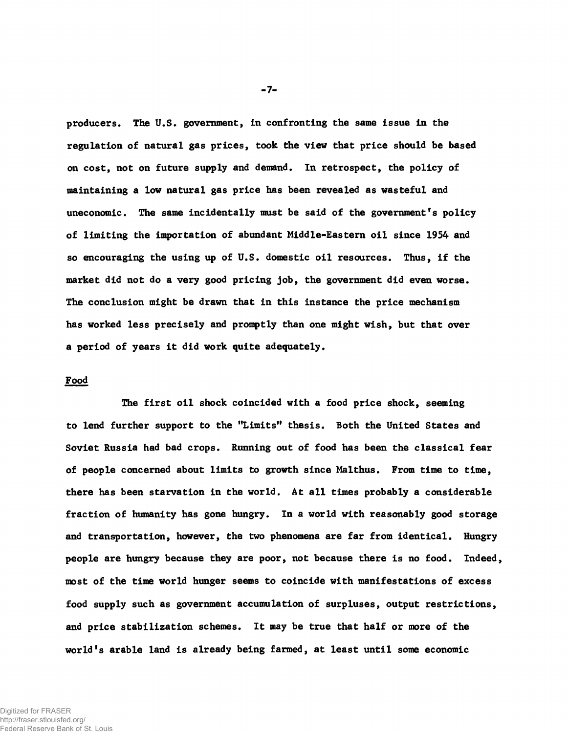**producers. The U.S. government, in confronting the same issue in the regulation of natural gas prices, took the view that price should be based on cost, not on future supply and demand. In retrospect, the policy of maintaining a low natural gas price has been revealed as wasteful and uneconomic. The same incidentally must be said of the government's policy of limiting the importation of abundant Middle-Eastern oil since 1954 and so encouraging the using up of U.S. domestic oil resources. Thus, if the market did not do a very good pricing job, the government did even worse. The conclusion might be drawn that in this instance the price mechanism has worked less precisely and promptly than one might wish, but that over a period of years it did work quite adequately.**

## **Food**

**The first oil shock coincided with a food price shock, seeming to lend further support to the "Limits" thesis. Both the United States and Soviet Russia had bad crops. Running out of food has been the classical fear of people concerned about limits to growth since Malthus. From time to time, there has been starvation in the world. At all times probably a considerable fraction of humanity has gone hungry. In a world with reasonably good storage and transportation, however, the two phenomena are far from identical. Hungry people are hungry because they are poor, not because there is no food. Indeed, most of the time world hunger seems to coincide with manifestations of excess food supply such as government accumulation of surpluses, output restrictions, and price stabilization schemes. It may be true that half or more of the world's arable land is already being farmed, at least until some economic**

**-7-**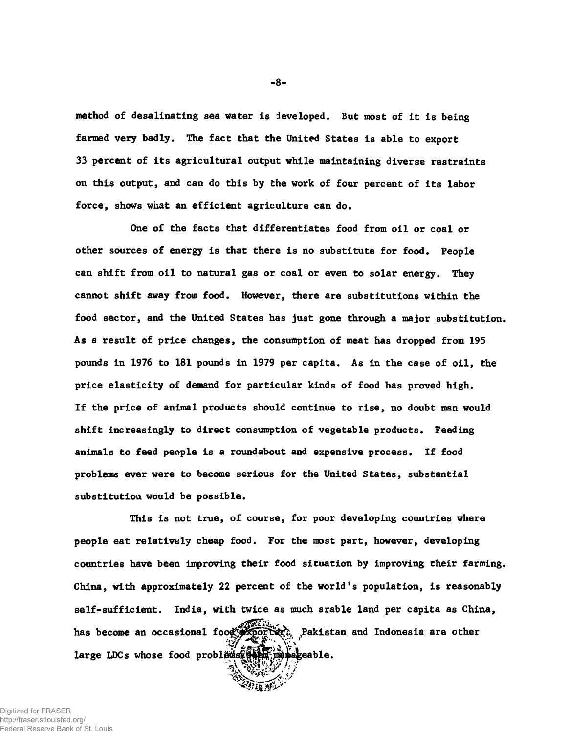**method of desalinating sea water is developed. But most of it is being farmed very badly. The fact that the United States is able to export 33 percent of its agricultural output while maintaining diverse restraints on this output, and can do this by the work of four percent of its labor force, shows what an efficient agriculture can do.**

**other sources of energy is that there is no substitute for food. People can shift from oil to natural gas or coal or even to solar energy. They cannot shift away from food. However, there are substitutions within the food sector, and the United States has just gone through a major substitution. As a result of price changes, the consumption of meat has dropped from 195 pounds in 1976 to 181 pounds in 1979 per capita. As in the case of oil, the price elasticity of demand for particular kinds of food has proved high. If the price of animal products should continue to rise, no doubt man would shift increasingly to direct consumption of vegetable products. Feeding** animals to feed people is a roundabout and expensive process. If food **problems ever were to become serious for the United States, substantial substitution would be possible. One of the facts that differentiates food from oil or coal or**

**people eat relatively cheap food. For the most part, however, developing countries have been improving their food situation by improving their farming. China, with approximately 22 percent of the world's population, is reasonably self-sufficient. India, with twice as much arable land per capita as China, This is not true, of course, for poor developing countries where** large LDCs whose food problems were manageable. has become an occasional food **property.** Pakistan and Indonesia are other

Digitized for FRASER http://fraser.stlouisfed.org/ Federal Reserve Bank of St. Louis -8-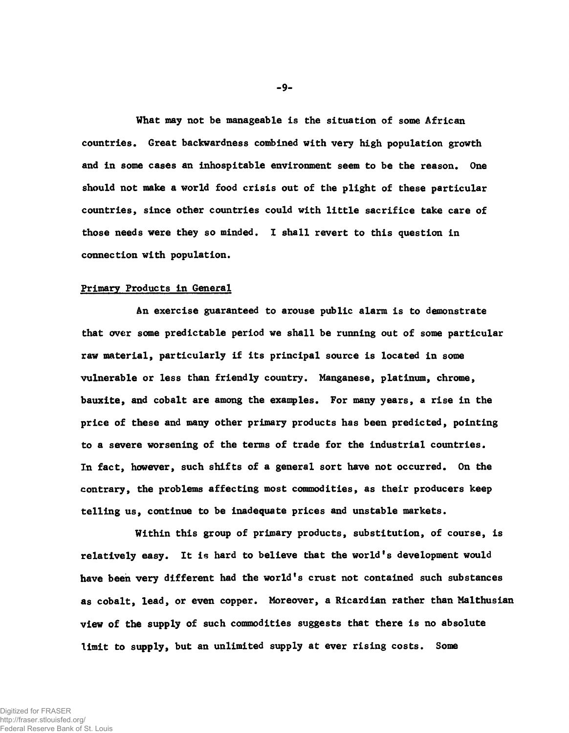**What may not be manageable is the situation of some African countries. Great backwardness combined with very high population growth and in some cases an inhospitable environment seem to be the reason. One should not make a world food crisis out of the plight of these particular countries, since other countries could with little sacrifice take care of those needs were they so minded. I shall revert to this question in connection with population.**

#### **Primary Products In General**

**An exercise guaranteed to arouse public alarm is to demonstrate that over some predictable period we shall be running out of some particular raw material, particularly if its principal source is located in some vulnerable or less than friendly country. Manganese, platinum, chrome, bauxite, and cobalt are among the examples. For many years, a rise in the price of these and many other primary products has been predicted, pointing to a severe worsening of the terms of trade for the industrial countries. In fact, however, such shifts of a general sort have not occurred. On the contrary, the problems affecting most commodities, as their producers keep telling us, continue to be inadequate prices and unstable markets.**

**Within this group of primary products, substitution, of course, is relatively easy. It is hard to believe that the world's development would have been very different had the world's crust not contained such substances as cobalt, lead, or even copper. Moreover, a Ricardian rather than Malthusian view of the supply of such commodities suggests that there is no absolute limit to supply, but an unlimited supply at ever rising costs. Some**

-9-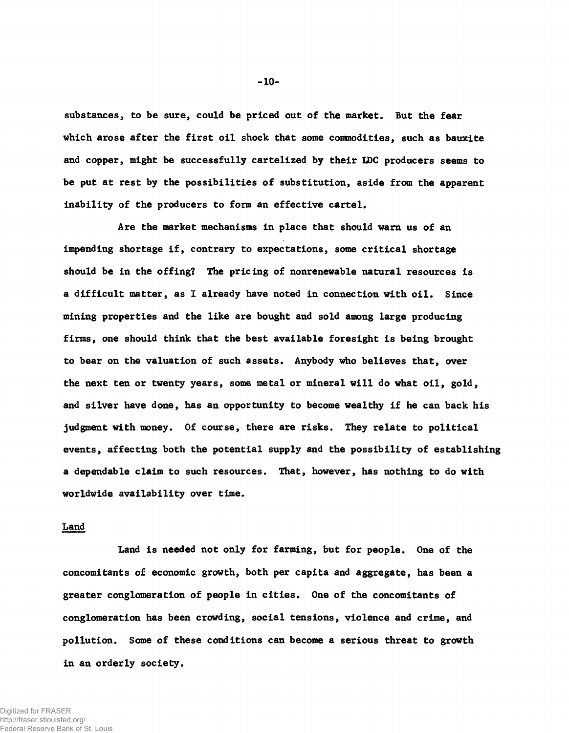**substances, to be sure, could be priced out of the market. But the fear which arose after the first oil shock that some commodities, such as bauxite and copper, might be successfully cartelized by their IDC producers seems to be put at rest by the possibilities of substitution, aside from the apparent inability of the producers to form an effective cartel.**

**Are the market mechanisms in place that should warn us of an impending shortage if, contrary to expectations, some critical shortage should be in the offing? The pricing of nonrenewable natural resources is a difficult matter, as I already have noted in connection with oil. Since mining properties and the like are bought and sold among large producing firms, one should think that the best available foresight is being brought to bear on the valuation of such assets. Anybody who believes that, over the next ten or twenty years, some metal or mineral will do what oil, gold, and silver have done, has an opportunity to become wealthy if he can back his judgment with money. Of course, there are risks. They relate to political events, affecting both the potential supply and the possibility of establishing a dependable claim to such resources. That, however, has nothing to do with worldwide availability over time.**

## **Land**

**Land is needed not only for farming, but for people. One of the concomitants of economic growth, both per capita and aggregate, has been a greater conglomeration of people in cities. One of the concomitants of conglomeration has been crowding, social tensions, violence and crime, and pollution. Some of these conditions can become a serious threat to growth in an orderly society.**

-10-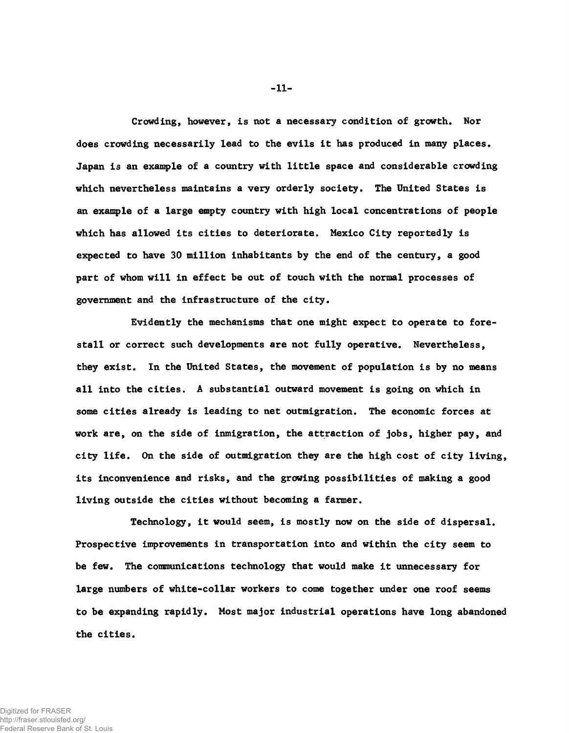**Crowding, however, is not a necessary condition of growth. Nor does crowding necessarily lead to the evils it has produced in many places. Japan is an example of a country with little space and considerable crowding which nevertheless maintains a very orderly society. The United States is an example of a large empty country with high local concentrations of people which has allowed its cities to deteriorate. Mexico City reportedly is expected to have 30 million inhabitants by the end of the century, a good part of whom will in effect be out of touch with the normal processes of government and the infrastructure of the city.**

**Evidently the mechanisms that one might expect to operate to forestall or correct such developments are not fully operative. Nevertheless, they exist. In the United States, the movement of population is by no means all into the cities. A substantial outward movement is going on which in some cities already is leading to net outmigration. The economic forces at work are, on the side of inmigration, the attraction of jobs, higher pay, and city life. On the side of outmigration they are the high cost of city living, its inconvenience and risks, and the growing possibilities of making a good living outside the cities without becoming a farmer.**

**Technology, it would seem, is mostly now on the side of dispersal. Prospective improvements in transportation into and within the city seem to be few. The communications technology that would make it unnecessary for large numbers of white-collar workers to come together under one roof seems to be expanding rapidly. Most major industrial operations have long abandoned the cities.**

-11-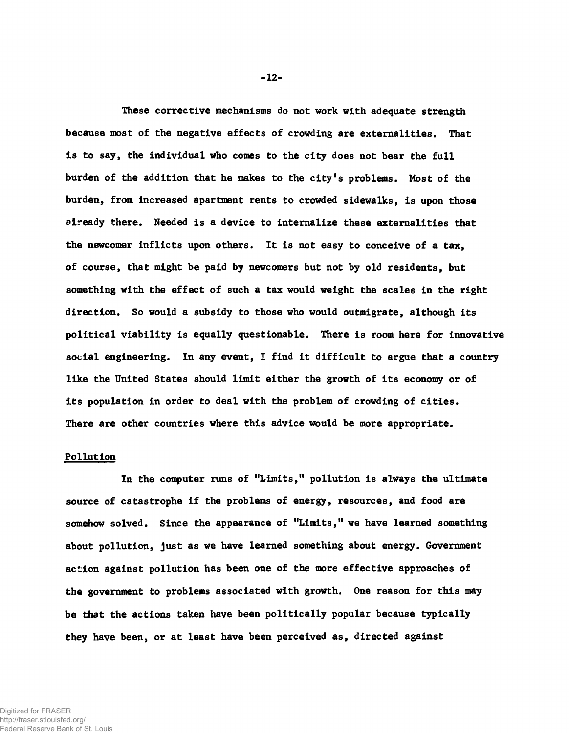**These corrective mechanisms do not work with adequate strength because most of the negative effects of crowding are externalities. That is to say, the individual who comes to the city does not bear the full burden of the addition that he makes to the city's problems. Most of the burden, from increased apartment rents to crowded sidewalks, is upon those diready there. Needed is a device to internalize these externalities that the newcomer inflicts upon others. It is not easy to conceive of a tax, of course, that might be paid by newcomers but not by old residents, but something with the effect of such a tax would weight the scales in the right direction. So would a subsidy to those who would outmigrate, although its political viability is equally questionable. There is room here for innovative social engineering. In any event, I find it difficult to argue that a country like the United States should limit either the growth of its economy or of its population in order to deal with the problem of crowding of cities. There are other countries where this advice would be more appropriate.**

# **Pollution**

**In the computer runs of "Limits," pollution is always the ultimate source of catastrophe if the problems of energy, resources, and food are somehow solved. Since the appearance of "Limits," we have learned something about pollution, just as we have learned something about energy. Government action against pollution has been one of the more effective approaches of the government to problems associated with growth. One reason for this may be that the actions taken have been politically popular because typically they have been, or at least have been perceived as, directed against**

-12-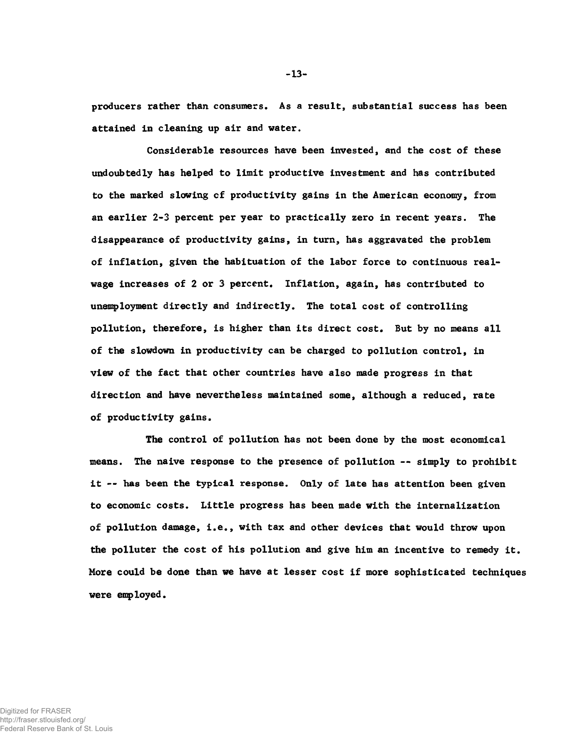**producers rather than consumers. As a result, substantial success has been attained In cleaning up air and water.**

**Considerable resources have been Invested, and the cost of these undoubtedly has helped to limit productive investment and has contributed to the marked slowing cf productivity gains in the American economy, from an earlier 2-3 percent per year to practically zero in recent years. The disappearance of productivity gains, in turn, has aggravated the problem of inflation, given the habituation of the labor force to continuous realwage increases of 2 or 3 percent. Inflation, again, has contributed to unemployment directly and indirectly. The total cost of controlling pollution, therefore, is higher than its direct cost. But by no means all of the slowdown in productivity can be charged to pollution control, in view of the fact that other countries have also made progress in that direction and have nevertheless maintained some, although a reduced, rate of productivity gains.**

**The control of pollution has not been done by the most economical means. The naive response to the presence of pollution — simply to prohibit it — has been the typical response. Only of late has attention been given to economic costs. Little progress has been made with the internalization of pollution damage, i.e., with tax and other devices that would throw upon the polluter the cost of his pollution and give him an incentive to remedy it. More could be done than we have at lesser cost if more sophisticated techniques were employed.**

-13-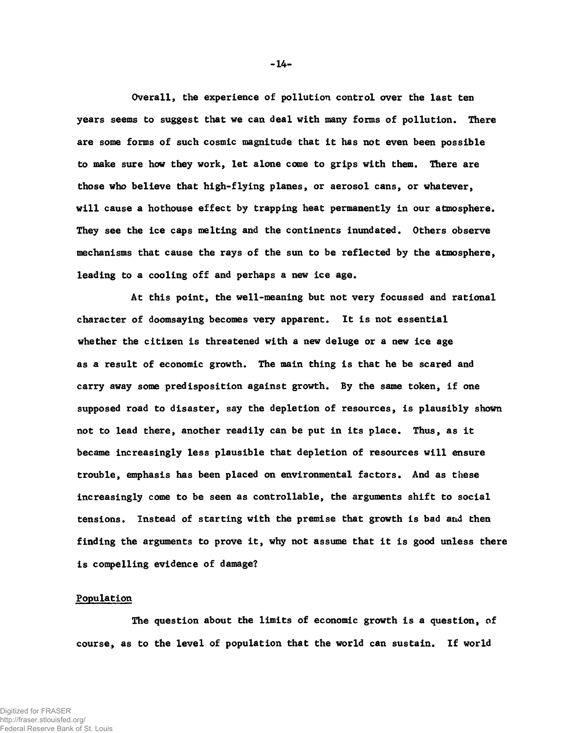**Overall, the experience of pollution control over the last ten years seems to suggest that we can deal with many forms of pollution. There are some forms of such cosmic magnitude that it has not even been possible to make sure how they work, let alone come to grips with them. There are those who believe that high-flying planes, or aerosol cans, or whatever, will cause a hothouse effect by trapping heat permanently in our atmosphere. They see the ice caps melting and the continents inundated. Others observe mechanisms that cause the rays of the sun to be reflected by the atmosphere, leading to a cooling off and perhaps a new ice age.**

**At this point, the well-meaning but not very focussed and rational character of doomsaying becomes very apparent. It is not essential whether the citizen is threatened with a new deluge or a new ice age as a result of economic growth. The main thing is that he be scared and carry away some predisposition against growth. By the same token, if one supposed road to disaster, say the depletion of resources, is plausibly shown not to lead there, another readily can be put in its place. Thus, as it became increasingly less plausible that depletion of resources will ensure trouble, emphasis has been placed on environmental factors. And as these increasingly come to be seen as controllable, the arguments shift to social tensions. Instead of starting with the premise that growth is bad and then finding the arguments to prove it, why not assume that it is good unless there is compelling evidence of damage?**

### **Population**

**The question about the limits of economic growth is a question, of course, as to the level of population that the world can sustain. If world**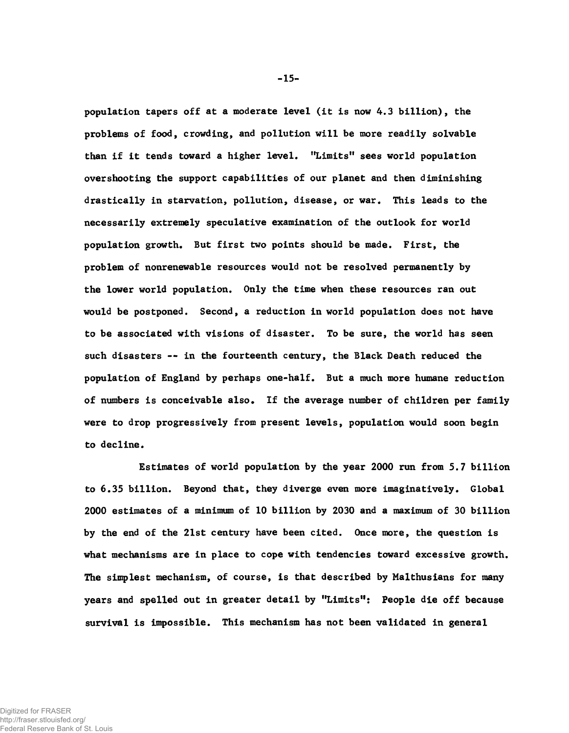**population tapers off at a moderate level (it is now 4.3 billion), the problems of food, crowding, and pollution will be more readily solvable than if it tends toward a higher level. "Limits" sees world population overshooting the support capabilities of our planet and then diminishing drastically in starvation, pollution, disease, or war. This leads to the necessarily extremely speculative examination of the outlook for world population growth. But first two points should be made. First, the problem of nonrenewable resources would not be resolved permanently by the lower world population. Only the time when these resources ran out would be postponed. Second, a reduction in world population does not have to be associated with visions of disaster. To be sure, the world has seen such disasters -- in the fourteenth century, the Black Death reduced the population of England by perhaps one-half. But a much more humane reduction of numbers is conceivable also. If the average number of children per family were to drop progressively from present levels, population would soon begin to decline.**

**Estimates of world population by the year 2000 run from 5.7 billion to 6.35 billion. Beyond that, they diverge even more imaginatively. Global 2000 estimates of a minimum of 10 billion by 2030 and a maximum of 30 billion by the end of the 21st century have been cited. Once more, the question is what mechanisms are in place to cope with tendencies toward excessive growth. The simplest mechanism, of course, is that described by Malthusians for many years and spelled out in greater detail by "Limits": People die off because survival is impossible. This mechanism has not been validated in general**

-15-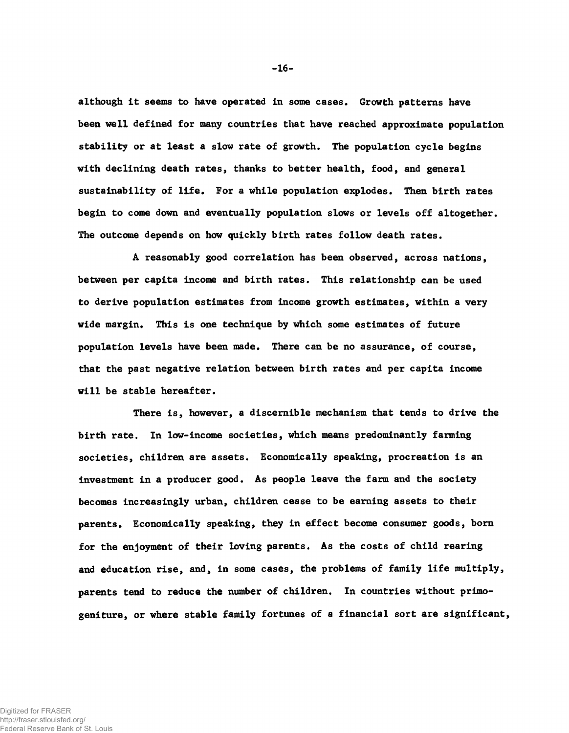**although it seems to have operated in some cases. Growth patterns have been well defined for many countries that have reached approximate population stability or at least a slow rate of growth. The population cycle begins with declining death rates, thanks to better health, food, and general sustainability of life. For a while population explodes. Then birth rates begin to come down and eventually population slows or levels off altogether. The outcome depends on how quickly birth rates follow death rates.**

**A reasonably good correlation has been observed, across nations, between per capita income and birth rates. This relationship can be used to derive population estimates from income growth estimates, within a very wide margin. This is one technique by which some estimates of future population levels have been made. There can be no assurance, of course, that the past negative relation between birth rates and per capita income will be stable hereafter.**

**There is, however, a discernible mechanism that tends to drive the birth rate. In low-income societies, which means predominantly farming societies, children are assets. Economically speaking, procreation is an investment in a producer good. As people leave the farm and the society becomes increasingly urban, children cease to be earning assets to their** parents. Economically speaking, they in effect become consumer goods, born **for the enjoyment of their loving parents. As the costs of child rearing and education rise, and, in some cases, the problems of family life multiply, parents tend to reduce the number of children. In countries without primogeniture, or where stable family fortunes of a financial sort are significant,**

-16-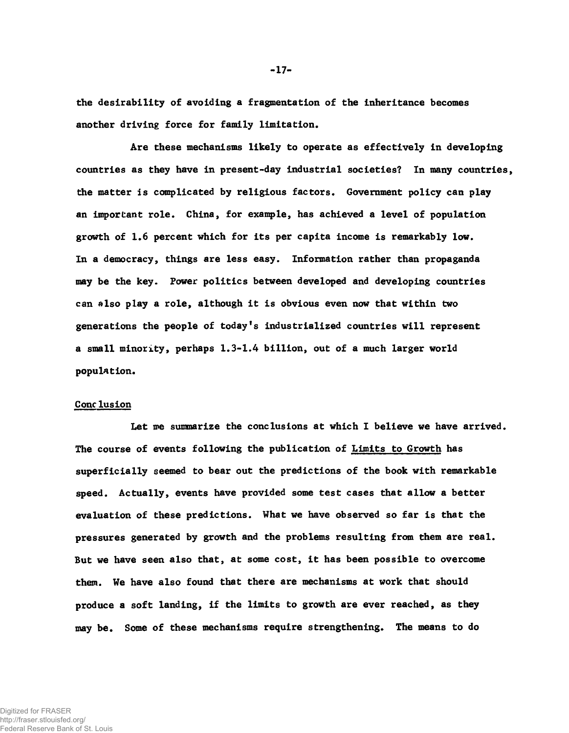**the desirability of avoiding a fragmentation of the inheritance becomes another driving force for family limitation.**

**Are these mechanisms likely to operate as effectively in developing countries as they have in present-day industrial societies? In many countries, the matter is complicated by religious factors. Government policy can play an important role. China, for example, has achieved a level of population growth of 1.6 percent which for its per capita income is remarkably low. In a democracy, things are less easy. Information rather than propaganda may be the key. Power politics between developed and developing countries can also play a role, although it is obvious even now that within two generations the people of today's industrialized countries will represent a small minority, perhaps 1.3-1.4 billion, out of a much larger world population.**

#### **Conclusion**

**Let me summarize the conclusions at which I believe we have arrived. The course of events following the publication of Limits to Growth has superficially seemed to bear out the predictions of the book with remarkable speed. Actually, events have provided some test cases that allow a better evaluation of these predictions. What we have observed so far is that the pressures generated by growth and the problems resulting from them are real. But we have seen also that, at some cost, it has been possible to overcome them. We have also found that there are mechanisms at work that should produce a soft landing, if the limits to growth are ever reached, as they may be. Some of these mechanisms require strengthening. The means to do**

-17-